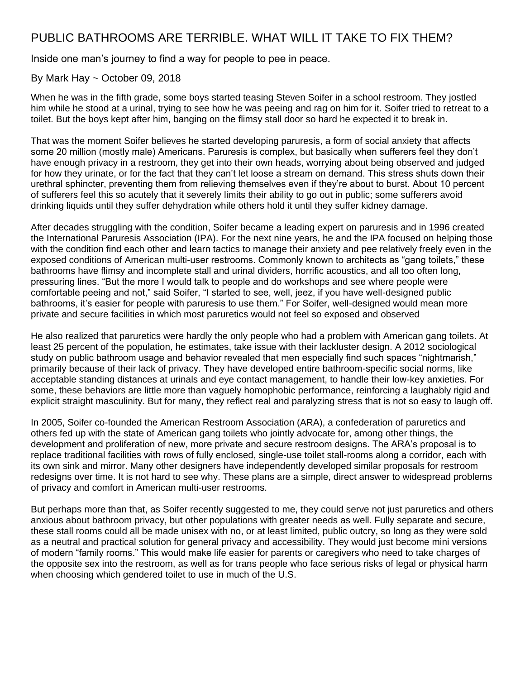## PUBLIC BATHROOMS ARE TERRIBLE. WHAT WILL IT TAKE TO FIX THEM?

Inside one man's journey to find a way for people to pee in peace.

## By Mark Hay ~ October 09, 2018

When he was in the fifth grade, some boys started teasing Steven Soifer in a school restroom. They iostled him while he stood at a urinal, trying to see how he was peeing and rag on him for it. Soifer tried to retreat to a toilet. But the boys kept after him, banging on the flimsy stall door so hard he expected it to break in.

That was the moment Soifer believes he started developing paruresis, a form of social anxiety that affects some 20 million (mostly male) Americans. Paruresis is complex, but basically when sufferers feel they don't have enough privacy in a restroom, they get into their own heads, worrying about being observed and judged for how they urinate, or for the fact that they can't let loose a stream on demand. This stress shuts down their urethral sphincter, preventing them from relieving themselves even if they're about to burst. About 10 percent of sufferers feel this so acutely that it severely limits their ability to go out in public; some sufferers avoid drinking liquids until they suffer dehydration while others hold it until they suffer kidney damage.

After decades struggling with the condition, Soifer became a leading expert on paruresis and in 1996 created the International Paruresis Association (IPA). For the next nine years, he and the IPA focused on helping those with the condition find each other and learn tactics to manage their anxiety and pee relatively freely even in the exposed conditions of American multi-user restrooms. Commonly known to architects as "gang toilets," these bathrooms have flimsy and incomplete stall and urinal dividers, horrific acoustics, and all too often long, pressuring lines. "But the more I would talk to people and do workshops and see where people were comfortable peeing and not," said Soifer, "I started to see, well, jeez, if you have well-designed public bathrooms, it's easier for people with paruresis to use them." For Soifer, well-designed would mean more private and secure facilities in which most paruretics would not feel so exposed and observed

He also realized that paruretics were hardly the only people who had a problem with American gang toilets. At least 25 percent of the population, he estimates, take issue with their lackluster design. A 2012 sociological study on public bathroom usage and behavior revealed that men especially find such spaces "nightmarish," primarily because of their lack of privacy. They have developed entire bathroom-specific social norms, like acceptable standing distances at urinals and eye contact management, to handle their low-key anxieties. For some, these behaviors are little more than vaguely homophobic performance, reinforcing a laughably rigid and explicit straight masculinity. But for many, they reflect real and paralyzing stress that is not so easy to laugh off.

In 2005, Soifer co-founded the American Restroom Association (ARA), a confederation of paruretics and others fed up with the state of American gang toilets who jointly advocate for, among other things, the development and proliferation of new, more private and secure restroom designs. The ARA's proposal is to replace traditional facilities with rows of fully enclosed, single-use toilet stall-rooms along a corridor, each with its own sink and mirror. Many other designers have independently developed similar proposals for restroom redesigns over time. It is not hard to see why. These plans are a simple, direct answer to widespread problems of privacy and comfort in American multi-user restrooms.

But perhaps more than that, as Soifer recently suggested to me, they could serve not just paruretics and others anxious about bathroom privacy, but other populations with greater needs as well. Fully separate and secure, these stall rooms could all be made unisex with no, or at least limited, public outcry, so long as they were sold as a neutral and practical solution for general privacy and accessibility. They would just become mini versions of modern "family rooms." This would make life easier for parents or caregivers who need to take charges of the opposite sex into the restroom, as well as for trans people who face serious risks of legal or physical harm when choosing which gendered toilet to use in much of the U.S.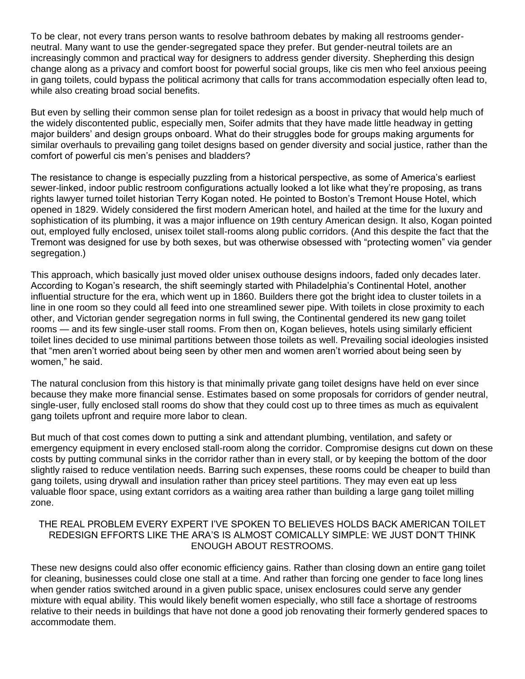To be clear, not every trans person wants to resolve bathroom debates by making all restrooms genderneutral. Many want to use the gender-segregated space they prefer. But gender-neutral toilets are an increasingly common and practical way for designers to address gender diversity. Shepherding this design change along as a privacy and comfort boost for powerful social groups, like cis men who feel anxious peeing in gang toilets, could bypass the political acrimony that calls for trans accommodation especially often lead to, while also creating broad social benefits.

But even by selling their common sense plan for toilet redesign as a boost in privacy that would help much of the widely discontented public, especially men, Soifer admits that they have made little headway in getting major builders' and design groups onboard. What do their struggles bode for groups making arguments for similar overhauls to prevailing gang toilet designs based on gender diversity and social justice, rather than the comfort of powerful cis men's penises and bladders?

The resistance to change is especially puzzling from a historical perspective, as some of America's earliest sewer-linked, indoor public restroom configurations actually looked a lot like what they're proposing, as trans rights lawyer turned toilet historian Terry Kogan noted. He pointed to Boston's Tremont House Hotel, which opened in 1829. Widely considered the first modern American hotel, and hailed at the time for the luxury and sophistication of its plumbing, it was a major influence on 19th century American design. It also, Kogan pointed out, employed fully enclosed, unisex toilet stall-rooms along public corridors. (And this despite the fact that the Tremont was designed for use by both sexes, but was otherwise obsessed with "protecting women" via gender segregation.)

This approach, which basically just moved older unisex outhouse designs indoors, faded only decades later. According to Kogan's research, the shift seemingly started with Philadelphia's Continental Hotel, another influential structure for the era, which went up in 1860. Builders there got the bright idea to cluster toilets in a line in one room so they could all feed into one streamlined sewer pipe. With toilets in close proximity to each other, and Victorian gender segregation norms in full swing, the Continental gendered its new gang toilet rooms — and its few single-user stall rooms. From then on, Kogan believes, hotels using similarly efficient toilet lines decided to use minimal partitions between those toilets as well. Prevailing social ideologies insisted that "men aren't worried about being seen by other men and women aren't worried about being seen by women," he said.

The natural conclusion from this history is that minimally private gang toilet designs have held on ever since because they make more financial sense. Estimates based on some proposals for corridors of gender neutral, single-user, fully enclosed stall rooms do show that they could cost up to three times as much as equivalent gang toilets upfront and require more labor to clean.

But much of that cost comes down to putting a sink and attendant plumbing, ventilation, and safety or emergency equipment in every enclosed stall-room along the corridor. Compromise designs cut down on these costs by putting communal sinks in the corridor rather than in every stall, or by keeping the bottom of the door slightly raised to reduce ventilation needs. Barring such expenses, these rooms could be cheaper to build than gang toilets, using drywall and insulation rather than pricey steel partitions. They may even eat up less valuable floor space, using extant corridors as a waiting area rather than building a large gang toilet milling zone.

## THE REAL PROBLEM EVERY EXPERT I'VE SPOKEN TO BELIEVES HOLDS BACK AMERICAN TOILET REDESIGN EFFORTS LIKE THE ARA'S IS ALMOST COMICALLY SIMPLE: WE JUST DON'T THINK ENOUGH ABOUT RESTROOMS.

These new designs could also offer economic efficiency gains. Rather than closing down an entire gang toilet for cleaning, businesses could close one stall at a time. And rather than forcing one gender to face long lines when gender ratios switched around in a given public space, unisex enclosures could serve any gender mixture with equal ability. This would likely benefit women especially, who still face a shortage of restrooms relative to their needs in buildings that have not done a good job renovating their formerly gendered spaces to accommodate them.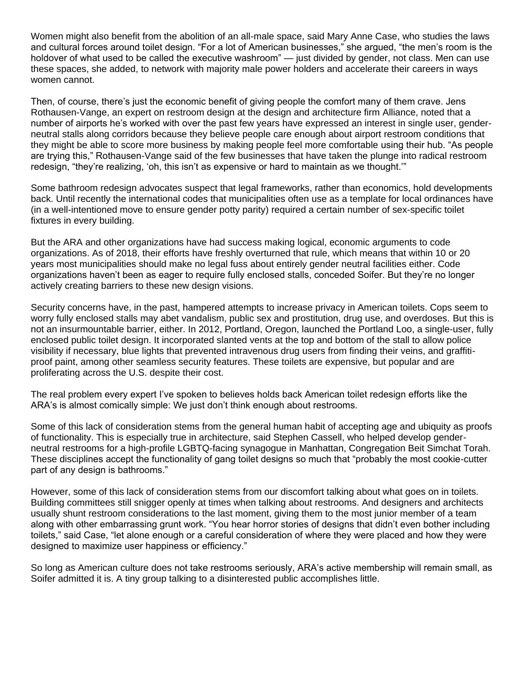Women might also benefit from the abolition of an all-male space, said Mary Anne Case, who studies the laws and cultural forces around toilet design. "For a lot of American businesses," she argued, "the men's room is the holdover of what used to be called the executive washroom" — just divided by gender, not class. Men can use these spaces, she added, to network with majority male power holders and accelerate their careers in ways women cannot.

Then, of course, there's just the economic benefit of giving people the comfort many of them crave. Jens Rothausen-Vange, an expert on restroom design at the design and architecture firm Alliance, noted that a number of airports he's worked with over the past few years have expressed an interest in single user, genderneutral stalls along corridors because they believe people care enough about airport restroom conditions that they might be able to score more business by making people feel more comfortable using their hub. "As people are trying this," Rothausen-Vange said of the few businesses that have taken the plunge into radical restroom redesign, "they're realizing, 'oh, this isn't as expensive or hard to maintain as we thought.'"

Some bathroom redesign advocates suspect that legal frameworks, rather than economics, hold developments back. Until recently the international codes that municipalities often use as a template for local ordinances have (in a well-intentioned move to ensure gender potty parity) required a certain number of sex-specific toilet fixtures in every building.

But the ARA and other organizations have had success making logical, economic arguments to code organizations. As of 2018, their efforts have freshly overturned that rule, which means that within 10 or 20 years most municipalities should make no legal fuss about entirely gender neutral facilities either. Code organizations haven't been as eager to require fully enclosed stalls, conceded Soifer. But they're no longer actively creating barriers to these new design visions.

Security concerns have, in the past, hampered attempts to increase privacy in American toilets. Cops seem to worry fully enclosed stalls may abet vandalism, public sex and prostitution, drug use, and overdoses. But this is not an insurmountable barrier, either. In 2012, Portland, Oregon, launched the Portland Loo, a single-user, fully enclosed public toilet design. It incorporated slanted vents at the top and bottom of the stall to allow police visibility if necessary, blue lights that prevented intravenous drug users from finding their veins, and graffitiproof paint, among other seamless security features. These toilets are expensive, but popular and are proliferating across the U.S. despite their cost.

The real problem every expert I've spoken to believes holds back American toilet redesign efforts like the ARA's is almost comically simple: We just don't think enough about restrooms.

Some of this lack of consideration stems from the general human habit of accepting age and ubiquity as proofs of functionality. This is especially true in architecture, said Stephen Cassell, who helped develop genderneutral restrooms for a high-profile LGBTQ-facing synagogue in Manhattan, Congregation Beit Simchat Torah. These disciplines accept the functionality of gang toilet designs so much that "probably the most cookie-cutter part of any design is bathrooms."

However, some of this lack of consideration stems from our discomfort talking about what goes on in toilets. Building committees still snigger openly at times when talking about restrooms. And designers and architects usually shunt restroom considerations to the last moment, giving them to the most junior member of a team along with other embarrassing grunt work. "You hear horror stories of designs that didn't even bother including toilets," said Case, "let alone enough or a careful consideration of where they were placed and how they were designed to maximize user happiness or efficiency."

So long as American culture does not take restrooms seriously, ARA's active membership will remain small, as Soifer admitted it is. A tiny group talking to a disinterested public accomplishes little.